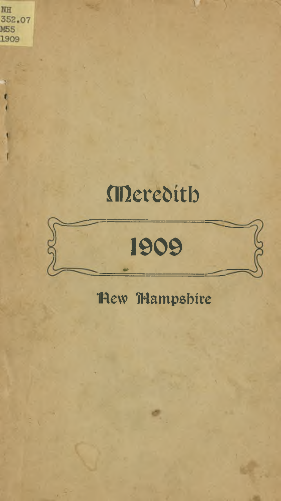NH 352.07 M55 1909

# **Meredith**



## **Thew Hampshire**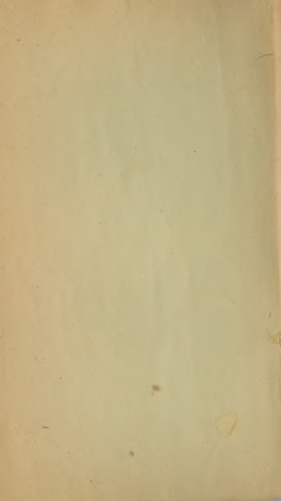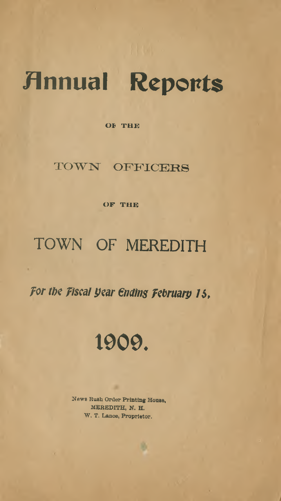# **Annual Reports**

OF THE

## TOWN OFFICERS

OF THE

## TOWN OF MEREDITH

For the Fiscal year Ending February 15,

## 1909.

News Rush Order Printing House, MEREDITH, N. H. W. T. Lance, Proprietor.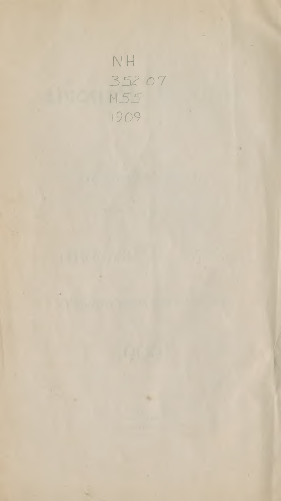NH 352.07 M55 1909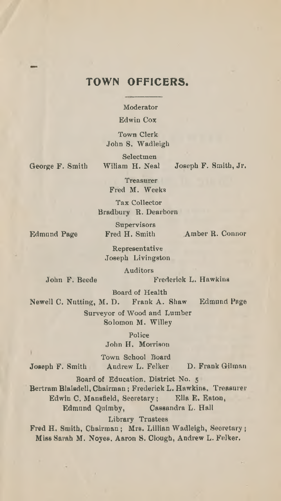### **TOWN OFFICERS.**

Moderator

Edwin Cox

Town Clerk John S. Wadleigh

Selectmen

George F. Smith Wiliam H. Neal Joseph F. Smith, Jr.

**Treasurer** Fred M. Weeks

Tax Collector Bradbury R. Dearborn

**Supervisors** 

Edmund Page Fred H, Smith Amber R. Connor

Representative Joseph Livingston

Auditors

John F, Beede Frederick L. Hawkins

Board of Health

Newell C. Nutting, M. D. Frank A. Shaw Edmund Page Surveyor of Wood and Lumber Solomon M. Willey

> Police John H. Morrison

Town School Board

Joseph F. Smith Andrew L. Felker D. Frank Gilman

Board of Education, District No. §

Bertram Blaisdell, Chairman j Frederick L, Hawkins, Treasurer Edwin C. Mansfield, Secretary; Ella E. Eaton,

Edmund Quimby, Cassandra *L.* Hall

Library Trustees

Fred H, Smith, Chairman ; Mrs. Lillian W adleigh, Secretary *\* Miss Sarah M, Noyes. Aaron S. Clough, Andrew L. Felker,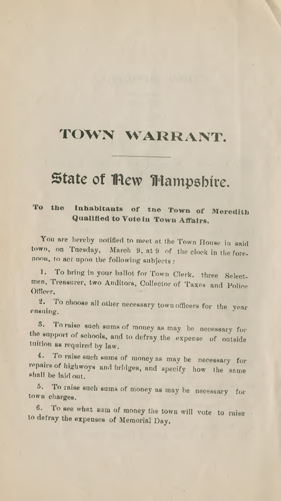## **TOWN WARRANT.**

## **State of flew IHampsbfre.**

### To the Inhabitants of tne Town of Meredith **Qualified to Vote in Town Affairs.**

You are hereby notified to meet at the Town House in said town, on Tuesday, March 9, at 9 of the clock in the forenoon, to act upon the following subjects •

1. To bring in your ballot for Town Clerk, three Selectmen, Treasurer, two Auditors, Collector of Taxes and Police Officer.

2. To choose all other necessary town officers for the year ensuing,

3. To raise such sums of money as may be necessary for the support of schools, and to defray the expense of outside tuition as required by law.

4. To raise such sums of money as may be necessary for repairs of highwoys and bridges, and specify how the same shall be laid out.

5. To raise such sums of money as may be necessary for town charges.

6. Io see what sum of money the town will vote to raise to defray the expenses of Memorial Day.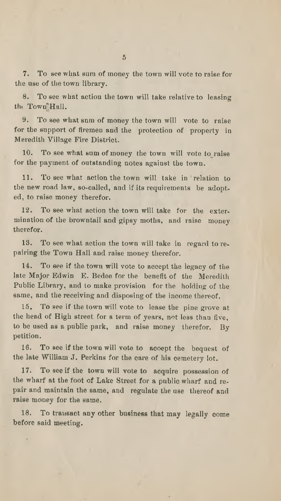7. To see what sum of money the town will vote to raise for the use of the town library.

8. To see what action the town will take relative to leasing thi Town:Hall.

9. To see what snm of money the town will vote to raise for the support of firemen and the protection of property in Meredith Village Fire District.

10. To see what sum of money the town will vote to raise for the payment of outstanding notes against the town.

11. To see what action the town will take in relation to the new road law, so-called, and if its requirements be adopted, to raise money therefor.

12. To see what action the town will take for the extermination of the browntail and gipsy moths, and raise money therefor.

13. To see what action the town will take in regard torepairing the Town Hall and raise money therefor.

14. To see if the town will vote to accept the legacy of the late Major Edwin E. Bedee for the benefit of the Meredith Public Library, and to make provision for the holding of the same, and the receiving and disposing of the income thereof.

15. To see if the town will vote to lease the pine grove at the head of High street for a term of years, not less than five, to be used as a public park, and raise money therefor. By petition.

16. To see if the town will vote to acoept the bequest of the late William J. Perkins for the care of his cemetery lot.

17. To see if the town will vote to acquire possession of the wharf at the foot of Lake Street for a public wharf and repair and maintain the same, and regulate the use thereof and raise money for the same.

18. To transact any other business that may legally come before said meeting.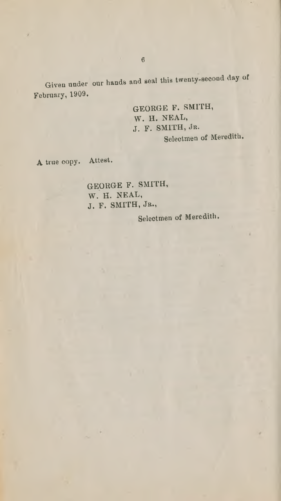Given under our hands and seal this twenty-seeond day of February, 1909,

> GEORGE F. SMITH, W. H. NEAL, J. F. SMITH, JR. Selectmen of Meredith.

A true copy. Attest.

GEORGE F. SMITH, W. H. NEAL, J. F. SMITH, JR.,

Selectmen of Meredith.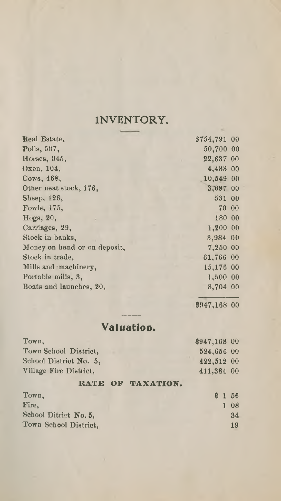## **INVENTORY,**

| Real Estate,                 | \$754,791 00 |
|------------------------------|--------------|
| Polls, 507,                  | 50,700 00    |
| Horses, $345$ ,              | 22,637 00    |
| Oxen, 104,                   | 4,433 00     |
| Cows, 468,                   | 10,549 00    |
| Other neat stock, 176,       | 3,897 00     |
| Sheep, 126,                  | 531 00       |
| Fowls, 175,                  | 70 00        |
| Hogs, $20$ ,                 | 180 00       |
| Carriages, 29,               | 1,200 00     |
| Stock in banks.              | 3,984 00     |
| Money on hand or on deposit, | 7,250 00     |
| Stock in trade,              | 61,766 00    |
| Mills and machinery,         | 15,176 00    |
| Portable mills, 3,           | 1,500 00     |
| Boats and launches, 20,      | 8,704 00     |
|                              |              |

\$947,168 00

## **Valuation,**

| Town.                  |                   | \$947,168 00 |  |        |
|------------------------|-------------------|--------------|--|--------|
| Town School District,  |                   | 524,656 00   |  |        |
| School District No. 5, |                   | 422,512 00   |  |        |
| Village Fire District, |                   | 411,384 00   |  |        |
|                        | RATE OF TAXATION. |              |  |        |
| Town.                  |                   |              |  | 8 1 56 |
| Fire.                  |                   |              |  | 108    |
| School Ditrict No. 5,  |                   |              |  | 34     |
| Town School District,  |                   |              |  | 19     |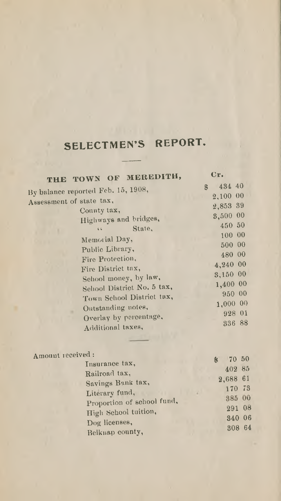## **SELECTMEN'S REPORT.**

| TOWN OF MEREDITH,<br>THE             | Cr.                     |
|--------------------------------------|-------------------------|
| By balance reported Feb. 15, 1908,   | 434 40<br>$\mathbf{s}$  |
|                                      | 2,100 00                |
| Assessment of state tax,             | 2,853 39                |
| County tax,<br>Highways and bridges, | 3,500 00                |
| State.<br>66                         | 450 50                  |
|                                      | 100 00                  |
| Memorial Day,                        | 500 00                  |
| Public Library,                      | 480 00                  |
| Fire Protection,                     | 4,240 00                |
| Fire District tax,                   | 3,150 00                |
| School money, by law,                | 1,400 00                |
| School District No. 5 tax,           | 950 00                  |
| Town School District tax,            | 1,000 00                |
| Outstanding notes,                   | 928 01                  |
| Overlay by percentage,               | 336 88                  |
| Additional taxes,                    |                         |
|                                      |                         |
| Amount received:                     |                         |
| Insurance tax,                       | 70 50<br>$\mathbb{R}^-$ |
| Railroad tax,                        | 402 85                  |
| Savings Bank tax,                    | 2,688 61                |
| Literary fund,                       | 170 73                  |
| Proportion of school fund,           | 385 00                  |
| High School tuition,                 | 291 08                  |
|                                      | 340 06                  |
| Dog licenses,                        | 308 64                  |
| Belknap county,                      |                         |
|                                      |                         |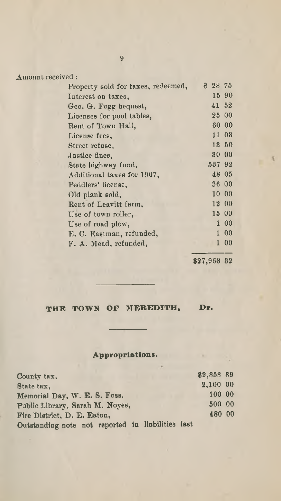| Amount received:                   |             |         |
|------------------------------------|-------------|---------|
| Property sold for taxes, redeemed, | 28 75<br>\$ |         |
| Interest on taxes,                 |             | 15 90   |
| Geo. G. Fogg bequest,              |             | 41 52   |
| Licenses for pool tables,          |             | 25 00   |
| Rent of Town Hall,                 |             | 60 00   |
| License fees.                      |             | 11 03   |
| Street refuse,                     |             | 13 50   |
| Justice fines,                     |             | 30 00   |
| State highway fund,                | 537 92      |         |
| Additional taxes for 1907,         |             | 48 05   |
| Peddlers' license,                 |             | 36 00   |
| Old plank sold,                    |             | 10 00   |
| Rent of Leavitt farm,              |             | 12 00   |
| Use of town roller.                |             | 15 00   |
| Use of road plow,                  |             | 1 00    |
| E. C. Eastman, refunded,           |             | $1\,00$ |
| F. A. Mead, refunded,              |             | 1 00    |
|                                    |             |         |

827,968 32

### THE TOWN OF MEREDITH, Dr.

### Appropriations.

| County tax.                                       | \$2,853 39 |  |
|---------------------------------------------------|------------|--|
| State tax.                                        | 2.100 00   |  |
| Memorial Day, W. E. S. Foss,                      | 100 00     |  |
| Public Library, Sarah M. Noyes,                   | 500 00     |  |
| Fire District, D. E. Eaton,                       | 480 00     |  |
| Outstanding note not reported in liabilities last |            |  |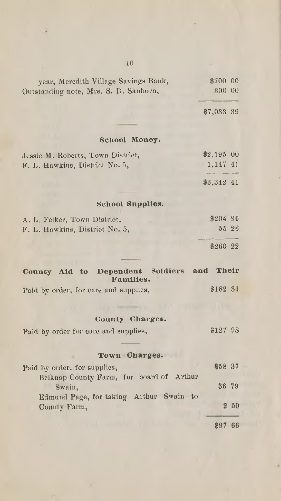| year, Meredith Village Savings Bank,                 | \$700 00   |       |
|------------------------------------------------------|------------|-------|
| Outstanding note, Mrs. S. D. Sanborn,                | 300 00     |       |
|                                                      | \$7,033 39 |       |
|                                                      |            |       |
| School Money.                                        |            |       |
| Jessie M. Roberts, Town District,                    | \$2,195 00 |       |
| F. L. Hawkins, District No. 5,                       | 1,147 41   |       |
|                                                      | \$3,342 41 |       |
|                                                      |            |       |
| School Supplies.                                     |            |       |
| A. L. Felker, Town District,                         | \$204 96   |       |
| F. L. Hawkins, District No. 5,                       |            | 55 26 |
|                                                      |            |       |
|                                                      | \$260 22   |       |
|                                                      |            |       |
| and<br>County Aid to Dependent Soldiers<br>Families. | Their      |       |
| Paid by order, for care and supplies,                | \$182 31   |       |
|                                                      |            |       |
|                                                      |            |       |
| County Charges.                                      | \$127 98   |       |
| Paid by order for care and supplies,                 |            |       |
|                                                      |            |       |
| Town Charges.                                        |            |       |
|                                                      |            |       |
| Paid by order, for supplies,                         | \$58 37    |       |
| Belknap County Farm, for board of Arthur<br>Swain,   | 36 79      |       |
| Edmund Page, for taking Arthur Swain to              |            |       |
| County Farm,                                         |            | 250   |
|                                                      | \$97 66    |       |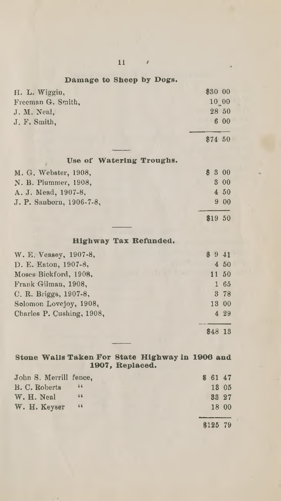| 11                        |                     |                |
|---------------------------|---------------------|----------------|
| Damage to Sheep by Dogs.  |                     |                |
| H. L. Wiggin,             | \$30 00             |                |
| Freeman G. Smith,         | 10,00               |                |
| J. M. Neal,               |                     | $28\ \ 50$     |
| J. F. Smith,              |                     | 600            |
|                           | \$74 50             |                |
| Use of Watering Troughs.  |                     |                |
| M. G. Webster, 1908,      | $\ddot{\mathbf{s}}$ | 3 00           |
| N. B. Plummer, 1908,      | $\mathbf{R}$        | 0 <sub>0</sub> |
| A. J. Mead, 1907-8,       |                     | 4 50           |
| J. P. Sanborn, 1906-7-8,  |                     | 9 00           |
|                           | \$19 50             |                |
| Highway Tax Refunded.     |                     |                |
| W. E. Veasey, 1907-8,     | \$9, 41             |                |
| D. E. Eaton, 1907-8,      |                     | 4 50           |
| Moses Bickford, 1908,     | 11                  | 50             |
| Frank Gilman, 1908,       | $\mathbf{1}$        | 65             |
| C. R. Briggs, 1907-8,     | $\mathbf{3}$        | 78             |
| Solomon Lovejoy, 1908,    | 13                  | 0 <sup>0</sup> |
| Charles P. Cushing, 1908, | 4                   | 29             |
|                           | \$48 13             |                |

1907, Replaced.

| John S. Merrill fence, |    | \$ 61 47 |       |
|------------------------|----|----------|-------|
| B. C. Roberts          |    |          | 18 05 |
| W. H. Neal             | 66 |          | 83 27 |
| W. H. Keyser           | 66 |          | 18 00 |
|                        |    | \$125,79 |       |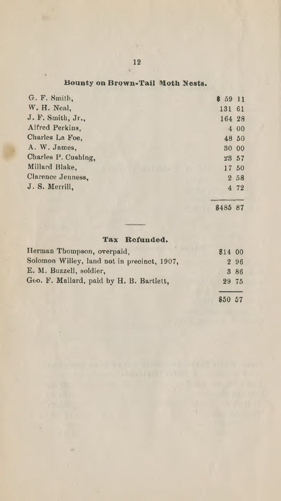|  |  | Bounty on Brown-Tail Moth Nests. |  |  |
|--|--|----------------------------------|--|--|
|--|--|----------------------------------|--|--|

ī,

| G. F. Smith,        | \$ 59 11 |       |
|---------------------|----------|-------|
| W. H. Neal,         | 131 61   |       |
| J. F. Smith, Jr.,   | 164 28   |       |
| Alfred Perkins.     |          | 400   |
| Charles La Foe,     |          | 48 50 |
| A. W. James.        |          | 30 00 |
| Charles P. Cushing. |          | 23 57 |
| Millard Blake,      |          | 17 50 |
| Clarence Jenness.   |          | 2 58  |
| J. S. Merrill,      |          | 4 72  |
|                     |          |       |

\$485 87

#### Tax Refunded.

| Herman Thompson, overpaid.                  | $$14\ 00$ |       |
|---------------------------------------------|-----------|-------|
| Solomon Willey, land not in precinct, 1907, |           | 2 96  |
| E. M. Buzzell, soldier.                     |           | 3 86  |
| Geo. F. Mallard, paid by H. B. Bartlett,    |           | 29 75 |
|                                             |           |       |
|                                             | \$50 57   |       |

×.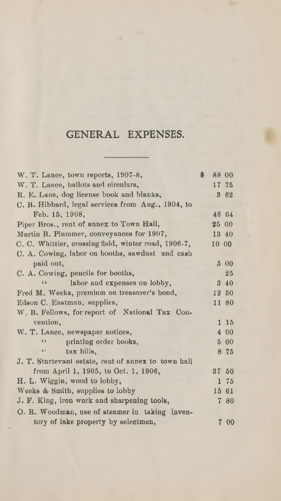## **GENERAL EXPENSES.**

| W. T. Lance, town reports, 1907-8,                   | \$    | 88 00       |
|------------------------------------------------------|-------|-------------|
| W. T. Lance, ballots and circulars,                  |       | 17 75       |
| R. E. Lane, dog license book and blanks,             |       | 3 62        |
| C. B. Hibbard, legal services from Aug., 1904, to    |       |             |
| Feb. 15, 1908,                                       |       | 46 64       |
| Piper Bros., rent of annex to Town Hall,             |       | 25 00       |
| Martin B. Plummer, conveyances for 1907,             |       | 13 40       |
| C. C. Whittier, crossing field, winter road, 1906-7, | 10 00 |             |
| C. A. Cowing, labor on booths, sawdust and cash      |       |             |
| paid out.                                            |       | 500         |
| C. A. Cowing, pencils for booths,                    |       | 25          |
| labor and expenses on lobby,<br>66                   |       | $3\quad 40$ |
| Fred M. Weeks, premium on treasurer's bond,          |       | 12 50       |
| Edson C. Eastman, supplies,                          |       | 11 80       |
| W. B. Fellows, for report of National Tax Con-       |       |             |
| vention,                                             |       | $1\;15$     |
| W. T. Lance, newspaper notices,                      |       | 400         |
| 66<br>printing order books,                          |       | 500         |
| tax bills.<br>6<                                     |       | 8 75        |
| J. T. Sturtevant estate, rent of annex to town hall  |       |             |
| from April 1, 1905, to Oct. 1, 1906,                 |       | 37 50       |
| H. L. Wiggin, wood to lobby,                         |       | 1 75        |
| Weeks & Smith, supplies to lobby                     |       | 15 61       |
| J. F. King, iron work and sharpening tools,          |       | 780         |
| O. R. Woodman, use of steamer in taking inven-       |       |             |
| tory of lake property by selectmen,                  |       | 7 00        |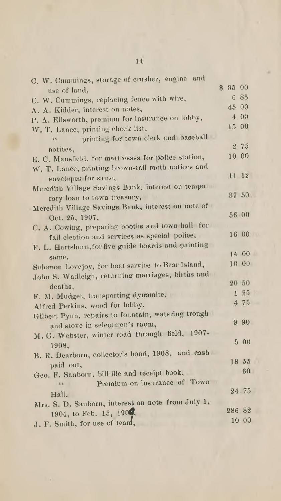| C. W. Cummings, storage of crusher, engine and      |  |         |
|-----------------------------------------------------|--|---------|
| use of land,                                        |  | \$3500  |
| C. W. Cummings, replacing fence with wire,          |  | 6 85    |
| A. A. Kidder, interest on notes,                    |  | 45 00   |
| P. A. Ellsworth, premium for insurance on lobby,    |  | 4 00    |
| W. T. Lance, printing check list,                   |  | 15 00   |
| printing for town clerk and baseball<br>66          |  |         |
| notices,                                            |  | 2 75    |
| E. C. Mansfield, for mattresses for police station, |  | 10 00   |
| W. T. Lance, printing brown-tail moth notices and   |  |         |
| envelopes for same,                                 |  | 11 12   |
| Meredith Village Savings Bank, interest on tempo-   |  |         |
| rary loan to town treasury,                         |  | 37 50   |
| Meredith Village Savings Bank, interest on note of  |  |         |
| Oct. 25, 1907,                                      |  | 56 00   |
| C. A. Cowing, preparing booths and town hall for    |  |         |
| fall election and services as special police,       |  | 16 00   |
| F. L. Hartshorn, for five guide boards and painting |  |         |
| same.                                               |  | 14 00   |
| Solomon Lovejoy, for boat service to Bear Island,   |  | 10 00   |
| John S. Wadleigh, returning marriages, births and   |  |         |
| deaths.                                             |  | 20 50   |
| F. M. Mudget, transporting dynamite,                |  | $1\,25$ |
| Alfred Perkins, wood for lobby,                     |  | 475     |
| Gilbert Pynn, repairs to fountain, watering trough  |  |         |
| and stove in selectmen's room,                      |  | 9 90    |
| M. G. Webster, winter road through field, 1907-     |  |         |
| 1908,                                               |  | 500     |
| B. R. Dearborn, collector's bond, 1908, and cash    |  |         |
| paid out,                                           |  | 18 55   |
| Geo. F. Sanborn, bill file and receipt book,        |  | 60      |
| Premium on insurance of Town<br>46                  |  |         |
| Hall.                                               |  | 24 75   |
| Mrs. S. D. Sanborn, interest on note from July 1,   |  |         |
| 1904, to Feb. 15, 1904,                             |  | 286 82  |
|                                                     |  | 1000    |

J. F. Smith, for use of team, 10 00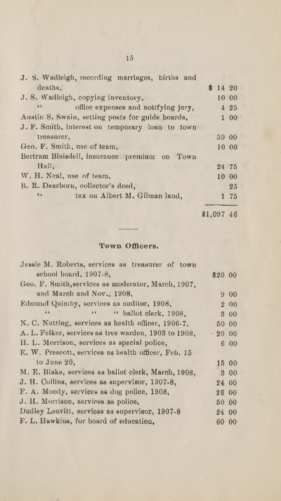| J. S. Wadleigh, recording marriages, births and  |            |         |
|--------------------------------------------------|------------|---------|
| deaths.                                          | s.         | 14 20   |
| J. S. Wadleigh, copying inventory,               |            | 10 00   |
| 66<br>office expenses and notifying jury,        |            | $4\,25$ |
| Austin S. Swain, setting posts for guide boards, |            | 1 00    |
| J. F. Smith, interest on temporary loan to town  |            |         |
| treasurer,                                       |            | 50 00   |
| Geo. F. Smith, use of team,                      |            | 10 00   |
| Bertram Blaisdell, insurance premium on Town     |            |         |
| Hall,                                            |            | 24 75   |
| W. H. Neal, use of team,                         |            | 10 00   |
| B. R. Dearborn, collector's deed,                |            | 25      |
| 66<br>tax on Albert M. Gilman land.              |            | 1 75    |
|                                                  | \$1,097 46 |         |

### Town Officers.

| Jessie M. Roberts, services as treasurer of town     |        |       |
|------------------------------------------------------|--------|-------|
| school board, 1907-8,                                | \$2000 |       |
| Geo. F. Smith, services as moderator, March, 1907.   |        |       |
| and March and Nov., 1908,                            |        | 9 00  |
| Edmund Quimby, services as auditor, 1908.            |        | 200   |
| 66<br>" ballot clerk, 1908,                          |        | 3 00  |
| N. C. Nutting, services as health officer, 1906-7,   |        | 50 00 |
| A. L. Felker, services as tree warden, 1903 to 1908. |        | 20 00 |
| H. L. Morrison, services as special police,          |        | 600   |
| E. W. Prescott, services as health officer, Feb. 15  |        |       |
| to June $20.$                                        |        | 15 00 |
| M. E. Blake, services as ballot clerk, March, 1908,  |        | 3 00  |
| J. H. Collins, services as supervisor, 1907-8,       | 24 00  |       |
| F. A. Moody, services as dog police, 1908,           | 26 00  |       |
| J. H. Morrison, services as police,                  |        | 50 00 |
| Dudley Leavitt, services as supervisor, 1907-8       |        | 24 00 |
| F. L. Hawkins, for board of education,               |        | 60 00 |

×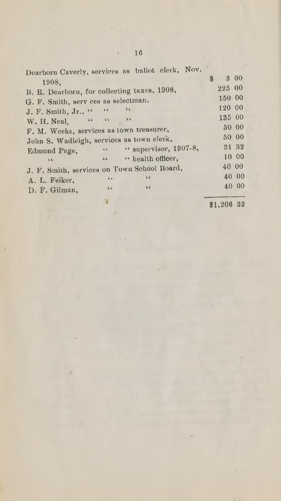| Dearborn Caverly, services as ballot clerk, rov. |        |       |
|--------------------------------------------------|--------|-------|
| 1908.                                            | \$     | 3 00  |
| B. R. Dearborn, for collecting taxes, 1908,      | 225 00 |       |
| G. F. Smith, serv ces as selectman.              | 150 00 |       |
| 66<br>J. F. Smith, Jr., "                        | 120 00 |       |
| 66<br>W. H. Neal, "                              | 135 00 |       |
| F. M. Weeks, services as town treasurer,         |        | 50 00 |
| John S. Wadleigh, services as town clerk,        |        | 50 00 |
| " "supervisor, 1907-8,<br>Edmund Page,           |        | 31 32 |
| " "health officer,<br>66                         |        | 10 00 |
| J. F. Smith, services on Town School Board,      |        | 40 00 |
| 66<br>6.4<br>A. L. Felker,                       |        | 40 00 |
| 66<br>$\mathbf{L}$ is<br>D. F. Gilman,           |        | 40 00 |
|                                                  |        |       |

\$1,206 32

 $\mathbf{R}$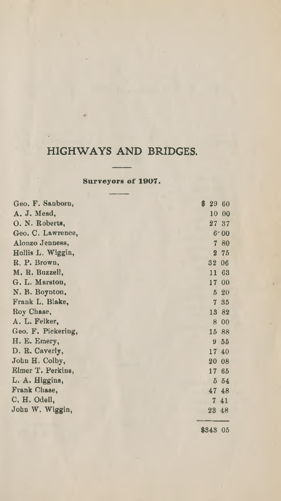## **HIGHWAYS AND BRIDGES.**

**Surveyors of 1907.** 

| Geo. F. Sanborn,   | \$<br>29 60 |
|--------------------|-------------|
| A. J. Mead,        | 10 00       |
| O. N. Roberts,     | 27 37       |
| Geo. C. Lawrence,  | $6 - 00$    |
| Alonzo Jenness,    | 7 80        |
| Hollis L. Wiggin,  | 2 75        |
| R. P. Brown,       | 32 06       |
| M. R. Buzzell,     | 11 63       |
| G. L. Marston,     | 17 00       |
| N. B. Boynton,     | 520         |
| Frank L. Blake,    | 7 35        |
| Roy Chase,         | 13 82       |
| A. L. Felker,      | 8 00        |
| Geo. F. Pickering, | 15 88       |
| H. E. Emery,       | 955         |
| D. R. Caverly,     | 17 40       |
| John H. Colby,     | 20 08       |
| Elmer T. Perkins,  | 17 65       |
| L. A. Higgins,     | 5 54        |
| Frank Chase,       | 47 48       |
| C, H. Odell,       | 741         |
| John W. Wiggin,    | 23 48       |
|                    |             |

**\$348** 05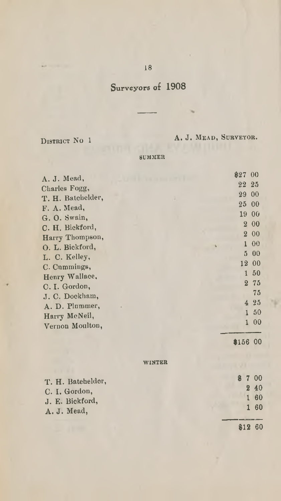## **Surveyors of 1908**

**D istRICT** No 1

A. J. MEAD, SURVEYOR.

#### **SUMMER**

|                   | \$27 00  |         |
|-------------------|----------|---------|
| A. J. Mead,       |          |         |
| Charles Fogg,     | 22 25    |         |
| T. H. Batchelder, | 29 00    |         |
| F. A. Mead,       |          | 25 00   |
| G. O. Swain,      |          | 19 00   |
| C. H. Bickford,   |          | 2 00    |
| Harry Thompson,   |          | 2 00    |
| O. L. Bickford,   |          | 1 00    |
| L. C. Kelley,     |          | 5 00    |
| C. Cummings,      |          | 12 00   |
| Henry Wallace,    |          | 1 50    |
|                   |          | 2 75    |
| C. I. Gordon,     |          | 75      |
| J. C. Dockham,    |          | $4\,25$ |
| A. D. Plummer,    |          |         |
| Harry McNeil,     |          | 150     |
| Vernon Moulton,   |          | 100     |
|                   | \$156 00 |         |

#### **WINTER**

<span id="page-19-0"></span>

| T. H. Batehelder, | 8700    |      |
|-------------------|---------|------|
| C. I. Gordon,     |         | 240  |
| J. E. Bickford,   |         | 60   |
| A. J. Mead,       |         | 1 60 |
|                   | \$12 60 |      |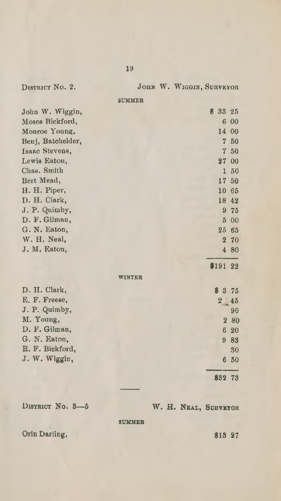| DISTRICT No. 2.   |               | JOHN W. WIGGIN, SURVEYOR |                 |                |
|-------------------|---------------|--------------------------|-----------------|----------------|
|                   | <b>SUMMER</b> |                          |                 |                |
| John W. Wiggin,   |               | 8                        | 33 25           |                |
| Moses Bickford,   |               |                          | 6 <sup>1</sup>  | 00             |
| Monroe Young,     |               |                          |                 | 14 00          |
| Benj, Batchelder, |               |                          | $\mathbf{7}$    | 50             |
| Isaac Stevens.    |               |                          | $\mathbf{7}$    | 50             |
| Lewis Eatou,      |               |                          | 27 <sub>2</sub> | 00             |
| Chas. Smith       |               |                          | $\mathbf{1}$    | 50             |
| Bert Mead,        |               |                          | 17 50           |                |
| H. H. Piper,      |               |                          | 10 65           |                |
| D. H. Clark,      |               |                          | 18              | 42             |
| J. P. Quimby,     |               |                          | 9 <sup>°</sup>  | 75             |
| D. F. Gilman,     |               |                          | 5 <sup>5</sup>  | 0 <sub>0</sub> |
| G. N. Eaton,      |               |                          | 25 65           |                |
| W. H. Neal,       |               |                          | $\overline{2}$  | 70             |
| J. M. Eaton,      |               |                          |                 | 4 80           |
|                   |               |                          | 8191 22         |                |
|                   |               |                          |                 |                |
|                   | WINTER        |                          |                 |                |
| D. H. Clark,      |               |                          | 83              | 75             |
| E. F. Freese,     |               |                          | $2_{-}$         | 45             |
| J. P. Quimby,     |               |                          |                 | 90             |
| M. Young,         |               |                          |                 | 2 80           |
| D. F. Gilman,     |               |                          | 6 <sup>1</sup>  | 20             |
| G. N. Eaton,      |               |                          | 9 <sup>°</sup>  | 83             |
| R. F. Bickford,   |               |                          |                 | 30             |
| J. W. Wiggin,     |               |                          |                 | 6 50           |
|                   |               |                          |                 |                |
|                   |               |                          | 832 73          |                |
|                   |               |                          |                 |                |

**DISTRICT NO. 3-6 W. H. NEAL, SURVETOR** 

**SUMMER**

Orin Darling, \$18 27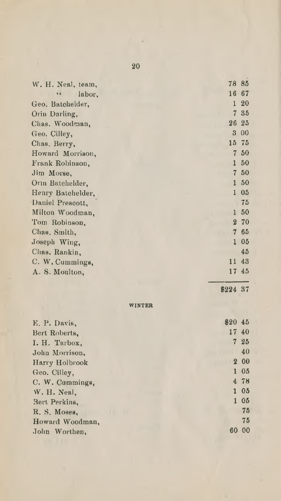| W. H. Neal, team, | 78               | 85             |
|-------------------|------------------|----------------|
| 66<br>labor,      | 16               | 67             |
| Geo. Batchelder,  | 1                | 20             |
| Orin Darling,     | 7                | 35             |
| Chas. Woodman,    | 26               | 25             |
| Geo. Cilley,      | $\overline{3}$   | 0 <sub>0</sub> |
| Chas. Berry,      | 15 <sup>15</sup> | 75             |
| Howard Morrison,  | 7                | 50             |
| Frank Robinson,   | $\mathbf{1}$     | 50             |
| Jim Morse,        | 7                | 50             |
| Orin Batchelder,  | $\mathbf{1}$     | 50             |
| Henry Batchelder, | $\mathbf{1}$     | 05             |
| Daniel Prescott,  |                  | 75             |
| Milton Woodman,   | 1                | 50             |
| Tom Robinson.     |                  | 2 70           |
| Chas. Smith,      | 7                | 65             |
| Joseph Wing,      | $\mathbf{1}$     | 05             |
| Chas. Rankin.     |                  | $45\,$         |
| C. W. Cummings.   | 11               | 43             |
| A. S. Moulton.    |                  | 17 45          |
|                   | \$224 37         |                |

#### **WINTER**

| E. P. Davis,    | \$20<br>45         |
|-----------------|--------------------|
| Bert Roberts,   | 40<br>17           |
| I. H. Tarbox,   | 725                |
| John Morrison,  | 40                 |
| Harry Holbrook  | 2 00               |
| Geo. Cilley,    | 1 05               |
| C. W. Cummings, | 4 78               |
| W. H. Neal,     | $1\quad05$         |
| Bert Perkins,   | 05<br>$\mathbf{1}$ |
| R. S. Moses,    | 75                 |
| Howard Woodman, | 75                 |
| John Worthen,   | 00                 |
|                 |                    |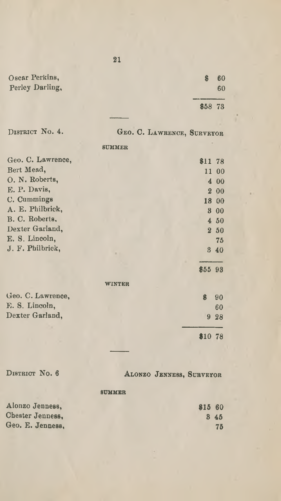| Oscar Perkins,    | \$                         | 60   |
|-------------------|----------------------------|------|
| Perley Darling,   |                            | 60   |
|                   | \$58 73                    |      |
|                   |                            |      |
| DISTRICT No. 4.   | GEO. C. LAWRENCE, SURVEYOR |      |
|                   | <b>SUMMER</b>              |      |
| Geo. C. Lawrence, | \$11 78                    |      |
| Bert Mead,        | 11 00                      |      |
| O. N. Roberts,    |                            | 4 00 |
| E. P. Davis,      |                            | 2 00 |
| C. Cummings       | 18 00                      |      |
| A. E. Philbrick,  |                            | 3 00 |
| B. C. Roberts.    |                            | 4 50 |
| Dexter Garland,   |                            | 2 50 |
| E. S. Lincoln,    |                            | 75   |
| J. F. Philbrick,  |                            | 340  |
|                   | \$55 93                    |      |
|                   | WINTER                     |      |
| Geo. C. Lawrence, | $\bf{8}$                   | 90   |
| E. S. Lincoln,    |                            | 60   |
| Dexter Garland,   |                            | 928  |
|                   | \$10 78                    |      |
|                   |                            |      |
|                   |                            |      |
| DISTRICT No. 6    | ALONZO JENNESS, SURVEYOR   |      |
|                   | <b>SUMMER</b>              |      |

| Alonzo Jenness,  | \$15 60 |     |
|------------------|---------|-----|
| Chester Jenness. |         | 845 |
| Geo. E. Jenness, |         | 75  |

 $9.1$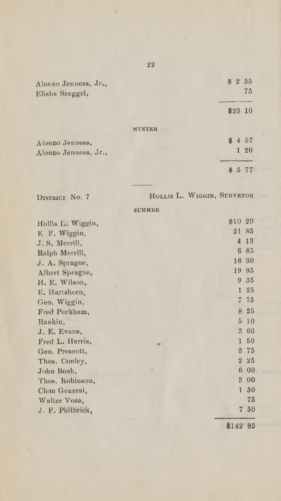| Alonzo Jenness, Jr.,<br>Elisha Sceggel, |        | S. | $\mathbf{2}$ | 55 <sub>o</sub><br>75 |
|-----------------------------------------|--------|----|--------------|-----------------------|
|                                         |        |    |              | \$23 10               |
|                                         | WINTER |    |              |                       |
| Alonzo Jenness,                         |        |    |              | \$457                 |
| Alonzo Jenness, Jr.,                    |        |    |              | 1 20                  |
|                                         |        | S  | Ő.           |                       |

**HOLLIS L. WIGGIN, SURVEYOR** 

**summer** 

**DISTRICT No. 7** 

| Hollis L. Wiggin, | \$10           | 20             |
|-------------------|----------------|----------------|
| E F. Wiggin,      |                | 21 85          |
| J.S. Merrill,     | $\overline{4}$ | 13             |
| Ralph Merrill,    | 6              | 85             |
| J. A. Sprague,    | 18             | 30             |
| Albert Sprague,   | 19             | 95             |
| H. E. Wilson,     | 9              | 35             |
| E. Hartshorn,     | 1              | 25             |
| Geo. Wiggin,      |                | 775            |
| Fred Peckham,     | 8              | 25             |
| Rankin,           | 5              | 10             |
| J. E. Evans,      | $\mathbf{3}$   | 60             |
| Fred L. Harris,   | 1              | 50             |
| Geo. Prescott,    |                | 3 75           |
| Thos. Conley,     |                | $2\;\;25$      |
| John Bush,        | 6              | 00             |
| Thos. Robinson,   | $^{3}$         | 0 <sub>0</sub> |
| Clem General,     | 1              | 50             |
| Walter Vose,      |                | 75             |
| J. F. Philbrick,  | 7              | 50             |
|                   |                |                |

\$142 83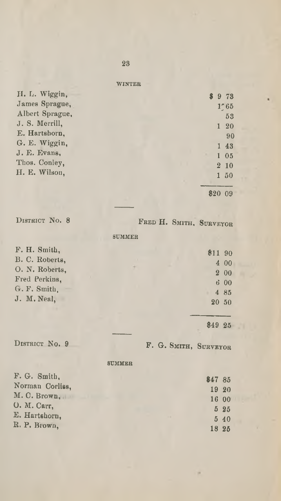```
WINTER
```

| H. L. Wiggin,   | S<br>9 73      |  |
|-----------------|----------------|--|
| James Sprague,  | $1^{\circ} 65$ |  |
| Albert Sprague, | 53             |  |
| J. S. Merrill,  | 1 20           |  |
| E. Hartshorn,   | 90             |  |
| G. E. Wiggin,   | 1 43           |  |
| J. E. Evans.    | $1\quad05$     |  |
| Thos. Conley,   | 2 10           |  |
| H. E. Wilson,   | $1\,50$        |  |
|                 |                |  |
|                 | 09             |  |
|                 |                |  |

 $D$  **istrict** No. 8

**DISTRICT No. 9** 

 $F$ RED H. SMITH, SURVEYOR

 $SUMMER$ 

| F. H. Smith,   | $$11\,90$ |         |
|----------------|-----------|---------|
| B. C. Roberts, |           | 400     |
| O. N. Roberts, |           | $2\,00$ |
| Fred Perkins.  |           | 600     |
| G. F. Smith,   |           | 485     |
| J. M. Neal,    |           | 20 50   |
|                |           |         |

\$49 25

F. G. SMITH, SURVEYOR

**sUMMER** 

| F. G. Smith,    | 847 85 |            |
|-----------------|--------|------------|
| Norman Corliss, | 19 20  |            |
| M. C. Brown,    | 16 00  |            |
| O. M. Carr,     |        | $5\quad25$ |
| E. Hartshorn,   |        | 540        |
| R. P. Brown,    | 18 25  |            |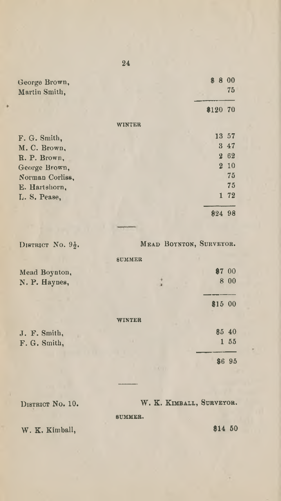|                  |                         | \$ 8 00        |        |
|------------------|-------------------------|----------------|--------|
| George Brown,    |                         |                | 75     |
| Martin Smith,    |                         |                |        |
|                  |                         | \$120 70       |        |
|                  |                         |                |        |
|                  | <b>WINTER</b>           |                |        |
| F. G. Smith,     |                         |                | 13 57  |
| M. C. Brown,     |                         |                | 3 47   |
| R. P. Brown,     |                         | 2 <sup>1</sup> | 62     |
| George Brown,    |                         |                | 2 10   |
| Norman Corliss,  |                         |                | 75     |
| E. Hartshorn,    |                         |                | 75     |
| L. S. Pease,     |                         |                | 1 72   |
|                  |                         | \$24 98        |        |
|                  |                         |                |        |
|                  |                         |                |        |
| DISTRICT No. 91. | MEAD BOYNTON, SURVEYOR. |                |        |
|                  | <b>SUMMER</b>           |                |        |
| Mead Boynton,    |                         |                | \$7 00 |
| N. P. Haynes,    |                         |                | 8 00   |
|                  |                         | \$15 00        |        |
|                  |                         |                |        |
|                  | WINTER                  |                |        |
| J. F. Smith,     |                         |                | \$5 40 |
| F. G. Smith,     |                         |                | 1 55   |
|                  |                         |                | \$6 95 |
|                  |                         |                |        |
|                  |                         |                |        |

DISTRICT No. 10.

W. K. KIMBALL, SURVEYOR.

SUMMER.

W. K. Kimball,

\$14 50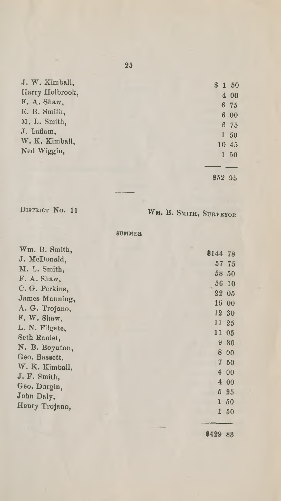| J. W. Kimball,  | $$1\,50$ |
|-----------------|----------|
| Harry Holbrook, | 400      |
| F. A. Shaw,     | 6 75     |
| E. B. Smith,    | 600      |
| M. L. Smith,    | 6 75     |
| J. Laflam,      | 1 50     |
| W. K. Kimball,  | 10 45    |
| Ned Wiggin.     |          |
|                 | $1\,50$  |
|                 |          |

\$52 95

**DISTRICT No. 11** 

WM. B. SMITH, SURVEYOR

**summer** 

| Wm. B. Smith.  |          |                |
|----------------|----------|----------------|
|                | \$144 78 |                |
| J. McDonald.   | 57 75    |                |
| M. L. Smith.   | 58 50    |                |
| F. A. Shaw,    |          |                |
| C. G. Perkins, | 56 10    |                |
| James Manning, | 22 05    |                |
| A. G. Trojano, | 1500     |                |
|                | 12 30    |                |
| F. W. Shaw,    | 11 25    |                |
| L. N. Filgate, | 11 05    |                |
| Seth Ranlet,   |          |                |
| N. B. Boynton, |          | 9 30           |
| Geo. Bassett,  | 8        | 0 <sub>0</sub> |
| W. K. Kimball, |          | 7 50           |
| J. F. Smith,   | 4        | 00             |
|                |          | 400            |
| Geo. Durgin,   |          | 5 25           |
| John Daly,     |          |                |
| Henry Trojano, |          | 1 50           |
|                | 1        | 50             |
|                |          |                |

\$429 83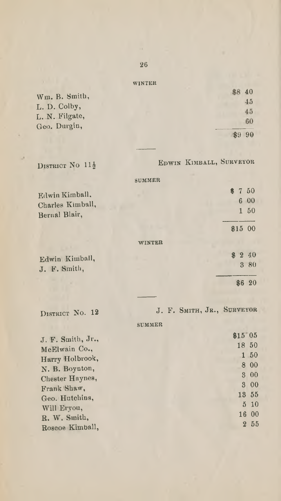#### **WINTER**

| Wm. B. Smith,  | 88 | 40     |
|----------------|----|--------|
| L. D. Colby,   |    | $45\,$ |
|                |    | 4.5    |
| L. N. Filgate, |    | 60     |
| Geo. Durgin,   |    |        |
|                |    | \$9 90 |

**<sup>D</sup> ist r ic t<sup>N</sup> <sup>o</sup> 1 1 ^ <sup>E</sup> d w in<sup>K</sup> i m b a l l , S u r v e y o r**

**su m m e r**

| Edwin Kimball,   |        | $\overline{7}$ | 50     |
|------------------|--------|----------------|--------|
| Charles Kimball, |        |                | 6 00   |
| Bernal Blair,    |        | $\mathbf{1}$   | 50     |
|                  |        |                | \$1500 |
|                  | WINTER |                |        |
| Edwin Kimball,   |        |                | \$240  |
| J. F. Smith,     |        |                | 3 80   |
|                  |        |                | 20     |

J. F. Smith, Jr., McElwain Co., Harry Holbrook, N. B. Boynton, Chester Haynes, Frank Shaw, Geo. Hutchins, Will Eryou, R. W. Smith, Roscoe Kimball,

**DISTRICT NO. 12** J. F. SMITH, JR., SURVEYOR

**SUMMER**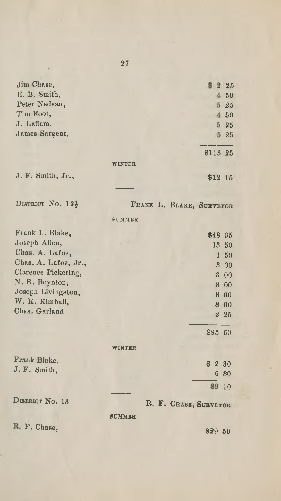| Jim Chase,                   |                          | s<br>$\sqrt{2}$ | 25           |
|------------------------------|--------------------------|-----------------|--------------|
| E. B. Smith,                 |                          |                 | 450          |
| Peter Nedeau,                |                          |                 | 525          |
| Tim Foot,                    |                          |                 | 450          |
| J. Laflam,                   |                          |                 | 525          |
| James Sargent,               |                          |                 | 525          |
|                              |                          |                 |              |
|                              |                          | \$113 25        |              |
|                              | WINTER                   |                 |              |
| J. F. Smith, Jr.,            |                          | \$12 15         |              |
|                              |                          |                 |              |
|                              |                          |                 |              |
| DISTRICT No. 12 <sup>1</sup> | FRANK L. BLAKE, SURVETOR |                 |              |
|                              | <b>SUMMER</b>            |                 |              |
| Frank L. Blake,              |                          |                 |              |
| Joseph Allen,                |                          | \$48 35         |              |
| Chas. A. Lafoe,              |                          |                 | 13 50        |
| Chas. A. Lafoe, Jr.,         |                          | $\mathbf{1}$    | 50           |
| Clarence Pickering,          |                          |                 | 3 00         |
| N. B. Boynton,               |                          |                 | 3 00<br>8 00 |
| Joseph Livingston,           |                          |                 | 8 00         |
| W. K. Kimball,               |                          |                 | 8 0 0        |
| Chas. Garland                |                          | $\mathbf{2}$    | 25           |
|                              |                          |                 |              |
|                              |                          | \$95 60         |              |
|                              | WINTER                   |                 |              |
|                              |                          |                 |              |
| Frank Blake,                 |                          | \$230           |              |
| J. F. Smith,                 |                          |                 | 680          |
|                              |                          | 89 10           |              |
|                              |                          |                 |              |
| DISTRICT No. 13              | R. F. CHASE, SURVETOR    |                 |              |
|                              | SUMMER                   |                 |              |
| R. F. Chase,                 |                          | \$29 50         |              |
|                              |                          |                 |              |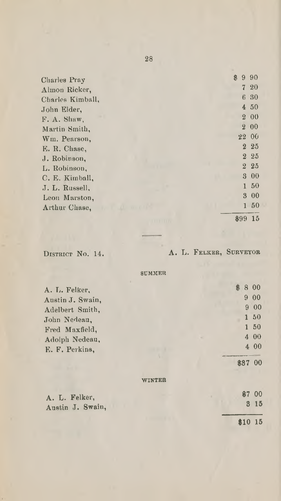| Charles Pray     | $\ddot{\mathbf{g}}$<br>9 | 90             |
|------------------|--------------------------|----------------|
| Almon Ricker,    | $\overline{7}$           | -20            |
| Charles Kimball, | 6                        | 30             |
| John Elder,      |                          | 4 50           |
| F. A. Shaw.      |                          | 2 00           |
| Martin Smith,    |                          | 2 00           |
| Wm. Pearson,     |                          | 2200           |
| E. R. Chase,     |                          | $2\,25$        |
| J. Robinson.     |                          | 2 25           |
| L. Robinson.     |                          | $2\,25$        |
| C. E. Kimball,   | $\mathbf{3}$             | $_{00}$        |
| J. L. Russell,   |                          | 50             |
| Leon Marston,    | $\mathbf{3}$             | 0 <sub>0</sub> |
| Arthur Chase,    | $\mathbf{1}$             | 50             |
|                  | \$99                     | $15\,$         |
|                  |                          |                |

**DISTRICT NO. 14. A. L. FELKER, SURVEYOR** 

**sumMER** 

| A. L. Felker,    |        | 8<br>8 | 0 <sup>0</sup> |
|------------------|--------|--------|----------------|
| Austin J. Swain, |        | 9      | 0 <sup>0</sup> |
| Adelbert Smith,  |        | 9      | 0 <sup>0</sup> |
| John Nedeau,     |        | 1      | 50             |
| Fred Maxfield,   |        |        | 1 50           |
| Adolph Nedeau,   |        |        | 400            |
| E. F. Perkins,   |        |        | 400            |
|                  |        | \$37   | 00             |
|                  | WINTER |        |                |
|                  |        | 87     |                |

| A. L. Felker,<br>Austin J. Swain, |         | \$7 00<br>3 15 |
|-----------------------------------|---------|----------------|
|                                   | \$10 15 |                |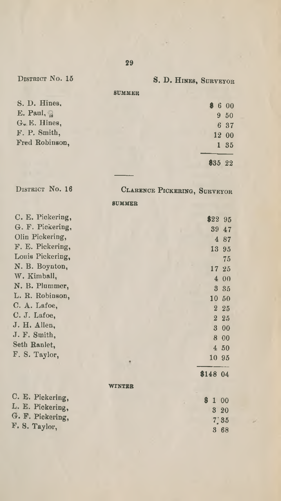#### **DISTRICT No. 15**

### $S$ . D. HINES, SURVEYOR

| S. D. Hines.   |  | \$ 6 00 |
|----------------|--|---------|
| E. Paul,       |  | 9 50    |
| G. E. Hines,   |  | 6 37    |
| F. P. Smith,   |  | 12 00   |
| Fred Robinson, |  | 1 35    |
|                |  |         |
|                |  | 835 22  |

**DISTRICT No. 16** C. E. Pickering, **C l a r e n c e P i c k e r in g , S u r v e y o r summer** \$22 95

 $\overline{\phantom{a}}$ 

| G. F. Pickering, |        |          | 39 47          |
|------------------|--------|----------|----------------|
| Olin Pickering,  |        |          | 4 87           |
| F. E. Pickering, |        |          | 13 95          |
| Louis Pickering, |        |          | 75             |
| N. B. Boynton,   |        |          | 17,25          |
| W. Kimball,      |        |          | 400            |
| N. B. Plummer,   |        |          | 3 35           |
| L. R. Robinson,  |        | 10 50    |                |
| C. A. Lafoe,     |        |          | 2 25           |
| C. J. Lafoe,     |        |          | $2\,25$        |
| J. H. Allen,     |        |          | 3 00           |
| J. F. Smith,     |        | 8        | 00             |
| Seth Ranlet,     |        |          |                |
| F. S. Taylor,    |        |          | 450            |
|                  |        | 10 95    |                |
|                  |        | \$148 04 |                |
|                  | WINTER |          |                |
| C. E. Pickering, |        | \$<br>1  | 0 <sub>0</sub> |
| L. E. Pickering, |        |          | 320            |
| G. F. Pickering, |        |          |                |
| F. S. Taylor,    |        |          | 7:35           |
|                  |        |          | 368            |

#### **29**

**SUMMER**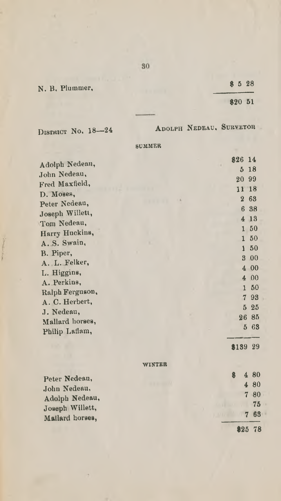|                    |               | 820 DI                  |
|--------------------|---------------|-------------------------|
|                    |               |                         |
| DISTRICT No. 18-24 |               | ADOLPH NEDEAU, SURVEYOR |
|                    | <b>SUMMER</b> |                         |
|                    |               |                         |
| Adolph Nedeau,     |               | \$26 14                 |
| John Nedeau,       |               | 518                     |
| Fred Maxfield,     |               | 20 99                   |
| D. Moses,          |               | 11 18                   |
| Peter Nedeau,      |               | 2 63                    |
| Joseph Willett,    |               | 6 38                    |
| Tom Nedeau,        |               | 4 13                    |
| Harry Huckins,     |               | $1\,50$                 |
| A. S. Swain,       |               | 1 50                    |
| B. Piper,          |               | 50<br>$\mathbf{1}$      |
| A. L. Felker,      |               | 3 00                    |
| L. Higgins,        |               | 4 00                    |
| A. Perkins,        |               | 4 00                    |
| Ralph Ferguson,    |               | 50<br>$\mathbf{1}$      |
| A. C. Herbert,     |               | 93<br>$\mathbf{7}$      |
| J. Nedeau,         |               | 5 25                    |
| Mallard horses,    |               | 85<br>26 <sup>°</sup>   |
| Philip Laflam,     |               | 63<br>5                 |
|                    |               |                         |
|                    |               | \$139 29                |
|                    |               |                         |
|                    | WINTER        |                         |
| Peter Nedeau,      |               | 4 80<br>8               |
| John Nedeau,       | 1.1.14        | 80<br>4                 |

 $30$ 

N. B. Plummer,

Adolph Nedeau,

Joseph Willett,

Mailard horses,

\$ 5 28

 $780$ 

75

 $763$ 

\$25 78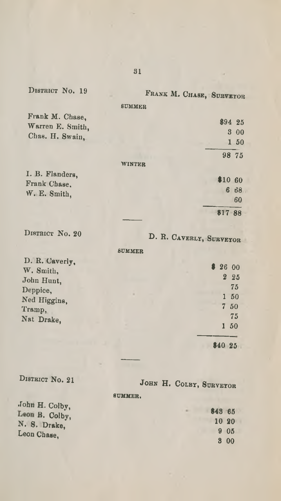| DISTRICT No. 19  |               | FRANK M. CHASE, SURVEYOR |
|------------------|---------------|--------------------------|
|                  | <b>SUMMER</b> |                          |
| Frank M. Chase,  |               |                          |
| Warren E. Smith, |               | \$94 25                  |
| Chas. H. Swain,  |               | 3 00                     |
|                  |               | 1.50                     |
|                  |               | 98 75                    |
|                  | <b>WINTER</b> |                          |
| I. B. Flanders,  |               |                          |
| Frank Chase.     |               | \$10 60                  |
| W. E. Smith,     |               | 68<br>6                  |
|                  |               | 60                       |
|                  |               | 817 88                   |
|                  |               |                          |
| DISTRICT No. 20  |               |                          |
|                  |               | D. R. CAVERLY, SURVEYOR  |
|                  | <b>SUMMER</b> |                          |
| D. R. Caverly,   |               |                          |
| W. Smith,        |               | 8<br>26 00               |
|                  |               | 9.9K                     |

| $\mathbf{w}$ . Smith. |  |              |                 |
|-----------------------|--|--------------|-----------------|
| John Hunt,            |  | $\mathbf{2}$ | 25              |
| Deppice,              |  |              | 75              |
| Ned Higgins,          |  |              | 150             |
| Tramp,                |  |              | 7 50            |
| Nat Drake,            |  |              | 75              |
|                       |  |              | 50 <sub>o</sub> |
|                       |  |              |                 |

**\$40 25**

8 00

DISTRICT NO. 21 JOHN H. COLBY, SURVEYOR

**s u m m e r .**

John H. Colby, **Example 10 20**<br> **B.** Colby, **848 65**<br> **B.** Colby, **10 20** N. S. Drake, 10 *20*<br>
Leon Character 9 05 Leon Chase,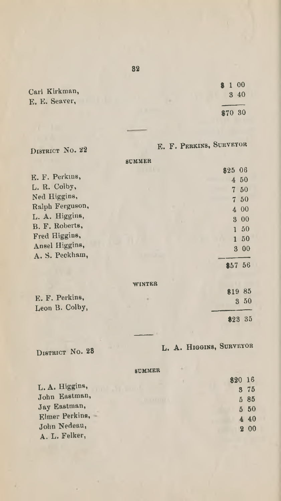Carl Kirkman, E. E. Seaver,

**DISTRICT NO. 28** 

|  | <b>8</b> 1 00 |
|--|---------------|
|  | 3 40          |
|  |               |
|  | \$70 30       |

| DISTRICT No. 22 |               | E. F. PERKINS, SURVEYOR |
|-----------------|---------------|-------------------------|
|                 | <b>SUMMER</b> |                         |
|                 |               | \$25 06                 |
| E. F. Perkins,  |               | 450                     |
| L. R. Colby,    |               | 7 50                    |
| Ned Higgins,    |               | 7 50                    |
| Ralph Ferguson, |               | 4 00                    |
| L. A. Higgins,  |               | 3 00                    |
| B. F. Roberts,  |               | 50<br>$\mathbf{1}$      |
| Fred Higgins,   |               | 1 50                    |
| Ansel Higgins,  |               | 3 00                    |
| A. S. Peckham,  |               |                         |
|                 |               | 56<br>857               |
|                 |               |                         |
|                 | WINTER        |                         |
|                 |               | 85<br>819               |
| E. F. Perkins,  |               | 50<br>$\mathbf{R}$      |
| Leon B. Colby,  |               |                         |
|                 |               | 35<br>823               |
|                 |               |                         |

L. A. HIGGINS, SURVEYOR

**SUMMER**

L. A. Higgins, John Eastman, Jay Eastman, Elmer Perkins, John Nedeau, A. L. Felker, \$20 16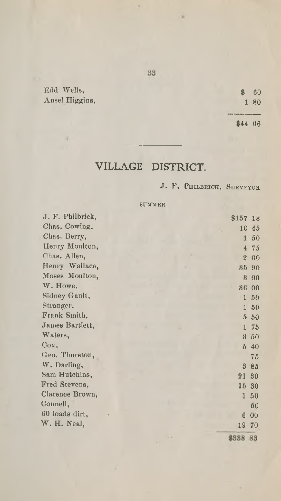Edd Wells, Ansel Higgins,

\$ **60 1 80**

*H i* 06

## **VILLAGE DISTRICT.**

J. F. PHILBRICK, SURVEYOR

SUMMER

- 1

J. F. Philbrick, Chas. Cowing, Chas. Berry, Henry Moulton, Chas. Allen, Henry Wallace, Moses Moulton, W. Howe, Sidney Gault, Stranger, Frank Smith, James Bartlett, Waters,  $\cos$ , 5 40 Geo. Thurston, W. Darling, Sam Hutchins, Fred Stevens, Clarence Brown, Connell, 60 loads dirt. W. H. Neal,

| \$157          | 18             |
|----------------|----------------|
| $10\,$         | 45             |
| 1              | 50             |
| 4              | 75             |
| $\overline{2}$ | 0 <sub>0</sub> |
| 35             | 90             |
| $\overline{3}$ | 0 <sub>0</sub> |
| 36             | 0 <sub>0</sub> |
| 1              | 50             |
| 1              | 50             |
| 5              | 50             |
| $\mathbf{1}$   | 75             |
| $\mathbf 3$    | 50             |
| 5              | 40             |
|                | 75             |
| $\mathbf{a}$   | 85             |
| 21             | 30             |
| 15             | 30             |
| 1              | 50             |
|                | 50             |
| 6              | 0 <sub>0</sub> |
| 19             | 70             |
| 8338           | 83             |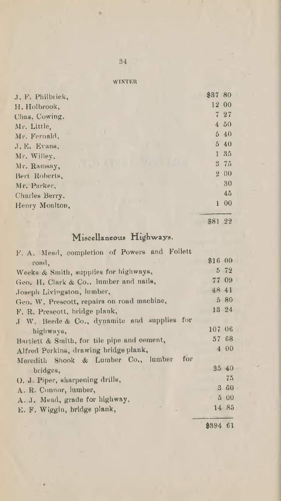**WINTKR**

| J. F. Philbrick, | \$37           | -80              |
|------------------|----------------|------------------|
| H. Holbrook,     |                | 12 00            |
| Chas, Cowing.    | $7\phantom{.}$ | 27               |
| Mr. Little,      |                | $4\overline{50}$ |
| Mr. Fernald,     |                | $5\,40$          |
| J. E. Evans,     |                | $5\,40$          |
| Mr. Willey,      | $\mathbf{1}$   | 35               |
| Mr. Ramsay,      |                | 3 75             |
| Bert Roberts,    |                | $2\,00$          |
| Mr. Parker,      |                | 30               |
| Charles Berry.   |                | 45               |
| Henry Moulton,   |                | 1 00             |
|                  |                |                  |
|                  | \$81           | 22               |

## Miscellaneous Highways.

| F. A. Mead, completion of Powers and Follett |  |     |          |           |
|----------------------------------------------|--|-----|----------|-----------|
| road,                                        |  |     | \$16 00  |           |
| Weeks & Smith, supplies for highways,        |  |     |          | $5 \t 72$ |
| Geo. H. Clark & Co., lumber and nails,       |  |     | 77 09    |           |
| Joseph Livingston, lumber,                   |  |     | 48 41    |           |
| Geo. W. Prescott, repairs on road machine,   |  |     |          | 580       |
| F. R. Prescott, bridge plank,                |  |     | 13 24    |           |
| J W. Beede & Co., dynamite and supplies for  |  |     |          |           |
| highways,                                    |  |     | 107 06   |           |
| Bartlett & Smith, for tile pipe and cement,  |  |     | 57 68    |           |
| Alfred Perkins, drawing bridge plank,        |  |     |          | 4 00      |
| Meredith Shook & Lumber Co., lumber          |  | for |          |           |
| bridges,                                     |  |     |          | 3540      |
| O. J. Piper, sharpening drills,              |  |     |          | 75        |
| A. R. Connor, lumber,                        |  |     |          | 3 60      |
| A. J. Mead, grade for highway,               |  |     |          | 500       |
| E. F. Wiggin, bridge plank,                  |  |     |          | 14 85     |
|                                              |  |     | \$394 61 |           |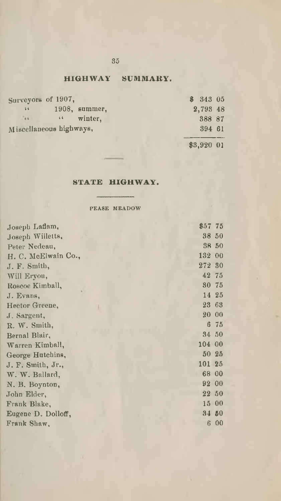#### 35

### **HIGHWAY SUMMARY.**

| Surveyors of 1907, |                         | \$ 343 05  |  |
|--------------------|-------------------------|------------|--|
| 66                 | $1908$ , summer,        | 2,793 48   |  |
| $-66$              | winter.<br>66           | 388 87     |  |
|                    | Miscellaneous highways, | 394 61     |  |
|                    |                         | \$3,920 01 |  |

#### STATE HIGHWAY.

**PEASE MEADOW**

| Joseph Laflam,      | \$57 75    |
|---------------------|------------|
| Joseph Willetts,    | 38 50      |
| Peter Nedeau,       | 38 50      |
| H. C. McElwain Co., | 132 00     |
| J. F. Smith,        | 272 30     |
| Will Eryou,         | 42 75      |
| Roscoe Kimball,     | 30 75      |
| J. Evans,           | 14 25      |
| Hector Greene,      | $23\ \ 63$ |
| J. Sargent,         | 20 00      |
| R. W. Smith,        | 6 75       |
| Bernal Blair,       | 34 50      |
| Warren Kimball,     | 104 00     |
| George Hutchins,    | 50 25      |
| J. F. Smith, Jr.,   | 101 25     |
| W. W. Ballard,      | 68 00      |
| N. B. Boynton,      | 92 00      |
| John Elder,         | 22 50      |
| Frank Blake,        | 15 00      |
| Eugene D. Dolloff,  | 34 50      |
| Frank Shaw.         | 600        |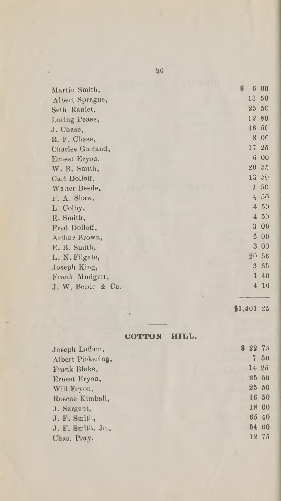| Martin Smith,     | g | 6               | 00               |
|-------------------|---|-----------------|------------------|
| Albert Sprague,   |   |                 | 13 50            |
| Seth Ranlet,      |   | $25^{\circ}$    | 50               |
| Loring Pease,     |   |                 | 12 80            |
| J. Chase,         |   |                 | 16 50            |
| R. F. Chase,      |   | 8               | 0 <sup>0</sup>   |
| Charles Garland,  |   |                 | 1725             |
| Ernest Eryou,     |   | 6               | 00               |
| W. B. Smith,      |   | 20 <sub>1</sub> | 55               |
| Carl Dolloff,     |   |                 | 13 50            |
| Walter Beede,     |   | $\mathbf{1}$    | 50               |
| F. A. Shaw,       |   |                 | 450              |
| L. Colby.         |   |                 | 4 50             |
| E. Smith,         |   |                 | $4\overline{50}$ |
| Fred Dolloff,     |   | 3 <sup>1</sup>  | 0 <sub>0</sub>   |
| Arthur Brown,     |   | 6               | 00               |
| E. B. Smith,      |   | $\mathbf{3}$    | 0 <sub>0</sub>   |
| L. N. Filgate,    |   |                 | $20\,56$         |
| Joseph King,      |   | $\mathbf{3}$    | 35               |
| Frank Mudgett,    |   | 1               | 40               |
| J. W. Beede & Co. |   | $\overline{4}$  | 16               |

\$1,401 25

### COTTON HILL.

k

| Joseph Laflam,    |  | $$22\;75$ |       |
|-------------------|--|-----------|-------|
| Albert Pickering, |  |           | 750   |
| Frank Blake,      |  | 14 25     |       |
| Ernest Eryou,     |  | 2550      |       |
| Will Eryou,       |  | 2550      |       |
| Roscoe Kimball,   |  | 16 50     |       |
| J. Sargent,       |  |           | 18 00 |
| J. F. Smith,      |  |           | 65 40 |
| J. F. Smith. Jr., |  |           | 54 00 |
| Chas, Pray,       |  |           | 12 75 |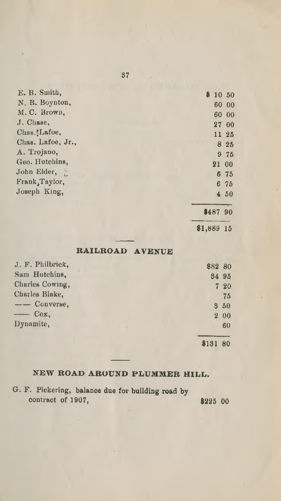| E. B. Smith,              | \$10,50 |       |
|---------------------------|---------|-------|
| N. B. Boynton,            |         | 60 00 |
| M.C. Brown,               |         | 60 00 |
| J. Chase,                 |         | 27 00 |
| Chas. Lafoe,              |         | 11 25 |
| Chas. Lafoe, Jr.,         |         | 8 25  |
| A. Trojano,               |         | 9 75  |
| Geo. Hutchins,            |         | 21 00 |
| John Elder, $\frac{1}{2}$ |         | 6 75  |
| Frank Taylor,             |         | 6 75  |
| Joseph King,              |         | 450   |
|                           | \$487   | 90    |
|                           |         |       |

01,889 15

### **RAILROAD AVENUE**

| J. F. Philbrick,              | \$82 80 |       |
|-------------------------------|---------|-------|
| Sam Hutchins,                 |         | 34 95 |
| Charles Cowing,               |         | 720   |
| Charles Blake,                |         | 75    |
| $\_\_\_\_$ Converse,          |         | 8 50  |
| $\overline{\phantom{0}}$ Cox, |         | 200   |
| Dynamite,                     |         | 60    |
|                               | \$131   | 80    |

### NEW ROAD AROUND PLUMMER HILL.

G. F. Pickering, balance due for building road by contract of 1907, \$225 00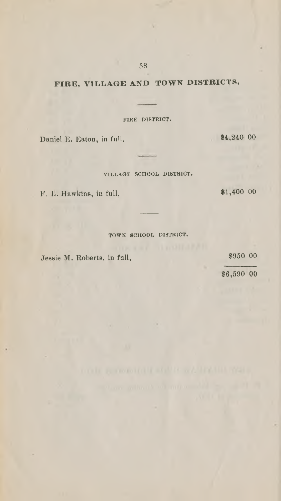### FIRE, VILLAGE AND TOWN DISTRICTS.

**fIRE** DISTRICT.

Daniel E. Eaton, in full, \$4,240 00

 $VILLAGE$  **SCHOOL DISTRICT**.

F. L. Hawkins, in full,  $$1,400,00$ 

 $T$ OWN SCHOOL DISTRICT.

Jessie M. Roberts, in full,  $$95000$ 

\$6,590 00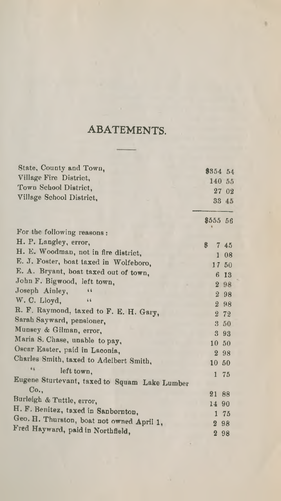## **ABATEMENTS.**

| State, County and Town,                       |              |          |
|-----------------------------------------------|--------------|----------|
| Village Fire District,                        |              | \$354 54 |
| Town School District.                         |              | 140 55   |
|                                               |              | 27 02    |
| Village School District,                      |              | 33 45    |
|                                               | \$555 56     |          |
| For the following reasons:                    |              |          |
| H. P. Langley, error,                         | \$           | 7 45     |
| H. E. Woodman, not in fire district,          |              | $1 \t08$ |
| E. J. Foster, boat taxed in Wolfeboro,        |              | 17 50    |
| E. A. Bryant, boat taxed out of town,         |              | 6 13     |
| John F. Bigwood, left town,                   |              | 2 98     |
| Joseph Ainley,<br>66                          |              | 2 98     |
| W. C. Lloyd,<br>66                            |              | 2 98     |
| R. F. Raymond, taxed to F. E. H. Gary,        |              | 2 72     |
| Sarah Sayward, pensioner,                     |              | 3 50     |
| Munsey & Gilman, error,                       |              | 3 93     |
| Maria S. Chase, unable to pay,                |              | 10 50    |
| Oscar Easter, paid in Laconia,                |              | 298      |
| Charles Smith, taxed to Adelbert Smith,       |              | 10 50    |
| 44<br>left town,                              | $\mathbf{1}$ | 75       |
| Eugene Sturtevant, taxed to Squam Lake Lumber |              |          |
| Co.,                                          | 21           | 88       |
| Burleigh & Tuttle, error,                     |              |          |
| H. F. Benitez, taxed in Sanbornton,           | 14 90        |          |
| Geo. H. Thurston, boat not owned April 1,     |              | 1 75     |
| Fred Hayward, paid in Northfield,             |              | 2 98     |
|                                               |              | 298      |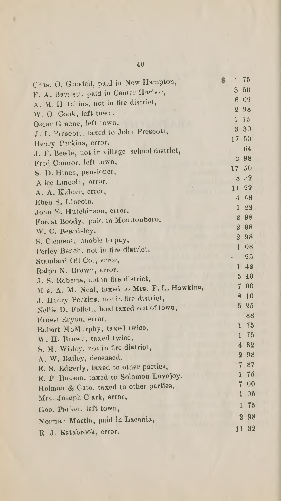| Chas. O. Goodell, paid in New Hampton,        | 8 |              | 1 75                 |  |
|-----------------------------------------------|---|--------------|----------------------|--|
| F. A. Bartlett, paid in Center Harbor,        |   |              | 3 50                 |  |
| A. M. Hutchins, not in fire district,         |   |              | 6 09                 |  |
| W. O. Cook, left town,                        |   |              | 2 98                 |  |
| Oscar Greene, left town,                      |   | $\mathbf{1}$ | 75                   |  |
| J. I. Prescott, taxed to John Prescott,       |   | 3            | 30                   |  |
| Henry Perkins, error,                         |   |              | 17 50                |  |
| J. F. Beede, not in village school district,  |   |              | 64                   |  |
| Fred Connor, left town,                       |   |              | 2 98                 |  |
| S. D. Hines, pensioner,                       |   |              | 17 50                |  |
| Alice Lincoln, error,                         |   |              | 8 52                 |  |
| A. A. Kidder, error,                          |   |              | 11 92                |  |
| Eben S. Lincoln,                              |   |              | 4 38                 |  |
| John E. Hutchinson, error.                    |   |              | $1\quad22$           |  |
| Forest Boody, paid in Moultonboro,            |   |              | 2 98                 |  |
| W. C. Beardsley,                              |   |              | 2 98                 |  |
| S. Clement, unable to pay,                    |   |              | 2 98                 |  |
| Perley Beach, not in fire district,           |   |              | 108                  |  |
| Standard Oil Co., error,                      |   |              | 95                   |  |
| Ralph N. Brown, error,                        |   |              | 142                  |  |
| J. S. Roberts, not in fire district,          |   |              | 5 40                 |  |
| Mrs. A. M. Neal, taxed to Mrs. F. L. Hawkins, |   |              | 700                  |  |
| J. Henry Perkins, not in fire district,       |   |              | 8 10                 |  |
| Nellie D. Follett, boat taxed out of town,    |   |              | 525                  |  |
| Ernest Eryou, error,                          |   |              | 88                   |  |
| Robert McMurphy, taxed twice,                 |   |              | 1 75                 |  |
| W. H. Brown, taxed twice,                     |   |              | 1 75                 |  |
| S. M. Willey, not in fire district,           |   |              | 482                  |  |
| A. W. Bailey, deceased,                       |   |              | 2 98                 |  |
| E. S. Edgerly, taxed to other parties,        |   |              | 787                  |  |
| E. P. Bosson, taxed to Solomon Lovejoy,       |   |              | 1 75                 |  |
| Holman & Cate, taxed to other parties,        |   |              | 7 00                 |  |
| Mrs. Joseph Clark, error,                     |   |              | 105                  |  |
| Geo. Parker, left town,                       |   |              | 1 75                 |  |
| Norman Martin, paid in Laconia,               |   |              | 98<br>$\overline{2}$ |  |
| R. J. Estabrook, error,                       |   |              | 11 32                |  |
|                                               |   |              |                      |  |

40

ł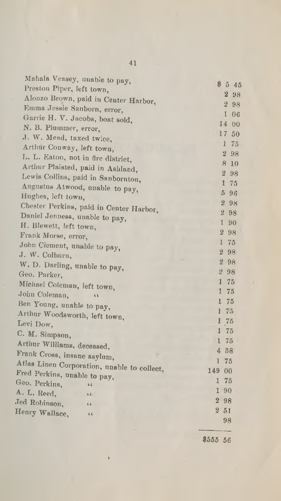| Mahala Veasey, unable to pay,               |                    |
|---------------------------------------------|--------------------|
| Preston Piper, left town,                   | \$ 5 45            |
| Alonzo Brown, paid in Center Harbor,        | 2 98               |
| Emma Jessie Sanborn, error,                 | 2 98               |
| Garrie H. V. Jacobs, boat sold,             | $1\ 06$            |
| N. B. Plummer, error,                       | 1400               |
| J. W. Mead, taxed twice,                    | 17 50              |
| Arthur Conway, left town,                   | 175                |
| L. L. Eaton, not in fire district,          | 2 98               |
| Arthur Plaisted, paid in Ashland,           | 8 10               |
| Lewis Collins, paid in Sanbornton,          | 2 98               |
| Augustus Atwood, unable to pay,             | 1 75               |
| Hughes, left town,                          | 5 96               |
| Chester Perkins, paid in Center Harbor,     | 2 98               |
| Daniel Jenness, unable to pay,              | 2 98               |
| H. Blewett, left town,                      | 1 90               |
| Frank Morse, error,                         | 2 98               |
| John Clement, unable to pay,                | 1 75               |
| J. W. Colburn,                              | 2 98               |
| W. D. Darling, unable to pay,               | 2 98               |
| Geo. Parker,                                | 298                |
| Michael Coleman, left town,                 | 1 75               |
| John Coleman,<br>66                         | $\mathbf{1}$<br>75 |
| Ben Young, unable to pay,                   | $\mathbf{I}$<br>75 |
| Arthur Woodsworth, left town                | 175                |
| Levi Dow,                                   | 1 75               |
| C. M. Simpson,                              | 1 75               |
| Arthur Williams, deceased,                  | 1 75               |
| Frank Cross, insane asylum,                 | 4 38               |
| Atlas Linen Corporation, unable to collect, | 1<br>75            |
| Fred Perkins, unable to pay,                | 149 00             |
| Geo. Perkins,<br>66                         | $\mathbf{1}$<br>75 |
| A. L. Reed,<br>k <sub>k</sub>               | 1 90               |
| Jed Robinson,<br>66                         | 2 98               |
| Henry Wallace,<br>66                        | 2 51               |
|                                             | 98                 |
|                                             |                    |

I

\$555 56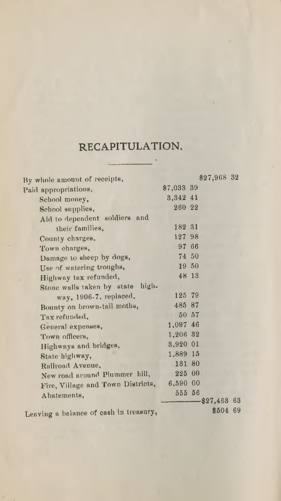## **RECAPITULATION,**

| By whole amount of receipts,           |             | \$27,968 32 |  |
|----------------------------------------|-------------|-------------|--|
| Paid appropriations,                   | $$7,033$ 39 |             |  |
| School money,                          | 3,342 41    |             |  |
| School supplies,                       | 260 22      |             |  |
| Aid to dependent soldiers and          |             |             |  |
| their families,                        | 182 31      |             |  |
| County charges,                        | 127 98      |             |  |
| Town charges,                          |             | 97 66       |  |
| Damage to sheep by dogs,               |             | 74 50       |  |
| Use of watering troughs,               |             | 19 50       |  |
| Highway tax refunded,                  |             | 48 13       |  |
| Stone walls taken by state high.       |             |             |  |
| way, 1906-7, replaced,                 | 125 79      |             |  |
| Bounty on brown-tail moths,            | 485 87      |             |  |
| Tax refunded,                          |             | 50 57       |  |
| General expenses,                      | 1,097 46    |             |  |
| Town officers,                         | 1,206 32    |             |  |
| Highways and bridges,                  | 8,920 01    |             |  |
| State highway,                         | 1,889 15    |             |  |
| Railroad Avenue,                       | 131 80      |             |  |
| New road around Plummer hill,          | 225 00      |             |  |
| Fire, Village and Town Districts,      | 6,590 00    |             |  |
| Abatements,                            | 555 56      |             |  |
|                                        |             | \$27,468 68 |  |
| Leaving a balance of cash in treasury, |             | \$504 69    |  |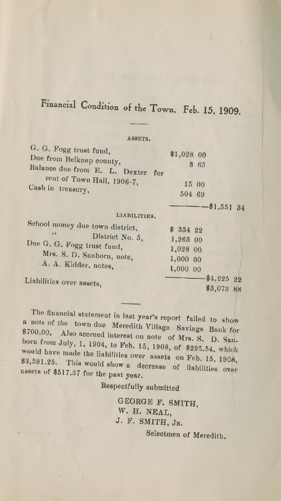## Financial Condition of the Town, Feb. 15, 1909.

**ASSETIC** 

<span id="page-44-0"></span>

|                                                                                                                    | ~~~***                                                          |                                                           |               |                              |  |
|--------------------------------------------------------------------------------------------------------------------|-----------------------------------------------------------------|-----------------------------------------------------------|---------------|------------------------------|--|
| G. G. Fogg trust fund,<br>Due from Belknap county,<br>Cash in treasury,                                            | Balance due from E. L. Dexter for<br>rent of Town Hall, 1906-7, | \$1,028 00<br>504 69                                      | 3 65<br>15 00 |                              |  |
| School money due town district,<br>Due G. G. Fogg trust fund,<br>Mis. S. D. Sanborn, note,<br>A. A. Kidder, notes, | LIABILITIES.<br>District No. 5,                                 | \$ 334 22<br>1,263 00<br>1,028 00<br>1,000 00<br>1,000 00 |               | $-$ - \$1,551 34             |  |
| Liabilities over assets,                                                                                           |                                                                 |                                                           |               | $-$ \$4,625 22<br>\$3,073 88 |  |

The financial statement in last year's report failed to show a note of the town due Meredith Village Savings Bank for \$700.00. Also accrued interest on note of Mrs. S. D. Sanborn from July, 1, 1904, to Feb. 15, 1908, of \$225.54, which would have made the liabilities over assets on Feb. 15, 1908. \$3,591.25 This would show a decrease of liabilities over assets of \$517.37 for the past year.

Respectfully submitted

GEORGE F. SMITH, W. H. NEAL, J. F. SMITH, JR.

Selectmen of Meredith.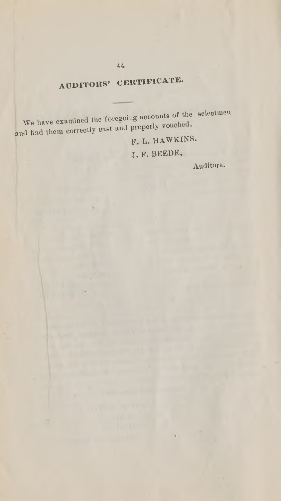## **A U D IT O R S ' C E R T IF IC A T E .**

We have examined the foregoing acconnts of the selectmen and find them correctly cast and properly vouched.

 $\mathbb{R}^n$  . The set of  $\mathbb{R}^n$ 

 $\sim$ 

F. L. HAWKINS, J. F. BEEDB,

Auditors.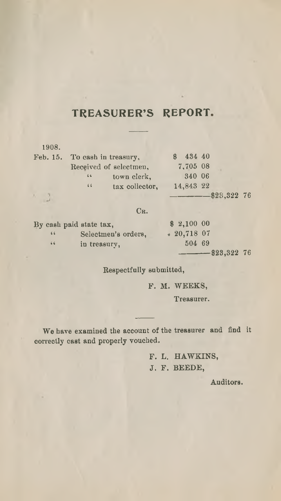### **TREASURER'S REPORT**

| 1908.    |                         |                     |               |                   |  |
|----------|-------------------------|---------------------|---------------|-------------------|--|
| Feb. 15. | To cash in treasury,    |                     | 434 40<br>\$  |                   |  |
|          | Received of selectmen,  |                     | 7,705 08      |                   |  |
|          | 66                      | town clerk,         | 340 06        |                   |  |
|          | 65                      | tax collector,      | 14,843 22     |                   |  |
| 1, 3     |                         |                     |               | $-$ - \$23,322 76 |  |
|          |                         | $_{\rm C_R}$        |               |                   |  |
|          | By cash paid state tax, |                     | \$2,10000     |                   |  |
| 66       |                         | Selectmen's orders, | $* 20,718 07$ |                   |  |
| 66       | in treasury,            |                     | 504 69        |                   |  |

 $-$ \$23,322 76

Respectfully submitted,

F. M. WEEKS,

Treasurer.

We have examined the account of the treasurer and find it correctly cast and properly vouched.

> F. L. HAWKINS, J. F. BEEDE,

> > Auditors.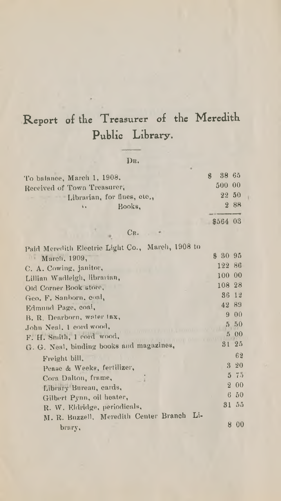## Report of the Treasurer of the Meredith Public Library.

|  | 4ъ | ۰ |
|--|----|---|

| To balance, March 1, 1908.<br>Received of Town Treasurer,<br>$\blacksquare$ [ibrarian, for fines, etc.,<br>Books.<br>$6 + 10 + 10$ |  | 38 65<br>500 00 | 22 50<br>2 88 |
|------------------------------------------------------------------------------------------------------------------------------------|--|-----------------|---------------|
|                                                                                                                                    |  | $$564$ 03       |               |

ī.

#### $C_{\rm R}$ .  $\sim$

| Paid Meredith Electric Light Co., March, 1908 to |          |         |
|--------------------------------------------------|----------|---------|
| March, 1909,<br>$118 -$                          | \$ 50 95 |         |
| C. A. Cowing, janitor,                           | 122 86   |         |
| Lillian Wadleigh, librarian,                     | 100 00   |         |
| Old Corner Book store,                           | 108 28   |         |
| Geo. F. Sanborn, coal,                           | 36       | 12      |
| Edmund Page, coal,                               | 42 89    |         |
| B. R. Dearborn, water tax,                       |          | 900     |
| John Neal, 1 cord wood,                          |          | 5, 50   |
| F. H. Smith, 1 cord wood,                        |          | 500     |
| G. G. Neal, binding books and magazines,         |          | 31 25   |
| Freight bill,                                    |          | 62      |
| Pease & Weeks, fertilizer,                       |          | 320     |
| Cora Dalton, frame,                              |          | 573     |
| Library Bureau, cards,                           |          | $2\,00$ |
| Gilbert Pynn, oil heater,                        |          | 650     |
| R. W. Eldridge, periodicals,                     |          | 3135    |
| M. R. Buzzell, Meredith Center Branch Li-        |          |         |
| brary,                                           | 8        | 00      |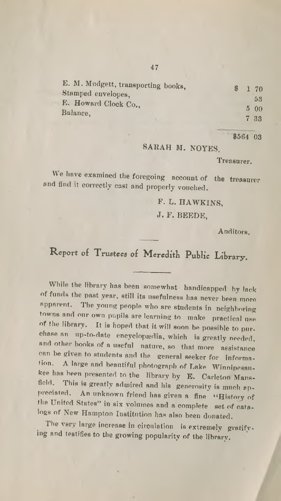| E. M. Mudgett, transporting books. | $\sqrt{1}$ | 70   |
|------------------------------------|------------|------|
| Stamped envelopes,                 |            |      |
| E. Howard Clock Co.,               |            | 53   |
| Balance.                           |            | 500  |
|                                    |            | 7 33 |

### SARAH M, NOTES,

Treasurer.

\$564 03

We have examined the foregoing account of the treasurer and find it correctly cast and properly vouched.

F. L. HAWKINS,

J. F. BEEDE,

Auditors.

## Report of Trustees of Meredith Public Library.

While the library has been somewhat handicapped by lack of funds the past year, still its usefulness has never been more apparent. The young people who are students in neighboring towns and our own pupils are learning to make practical use of the library. It is hoped that it will soon be possible to purchase an up-to-date encyclopaedia, which is greatly needed, and other books of a useful nature, so that more assistance can be given to students and the general seeker for informa-<br>tion. A large and beautiful photograph of Lebesty Wi A large and beautiful photograph of Lake Winnipesaukee has been presented to the library by E. Carleton Mansfield. This is greatly admired and his generosity is much appreciated. An unknown friend has given a fine "History of the United States" in six volumes and a complete set of catalogs of New Hampton Institution has also been donated.

The very large increase in circulation is extremely gratifymg and testifies to the growing popularity of the library.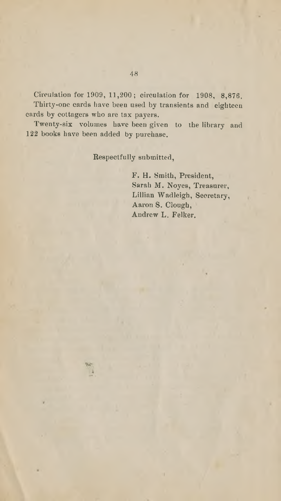Circulation for 1909, 11,200 ; circulation for 1908, 8,876, Thirty-one cards have been used by transients and eighteen cards by cottagers who are tax payers.

Twenty-six volumes have been given to the library and 122 books have been added by purchase.

Respectfully submitted,

F. H. Smith, President, Sarah M. Noyes, Treasurer, Lillian Wadleigh, Secretary, Aaron S. Clough, Andrew L. Felker.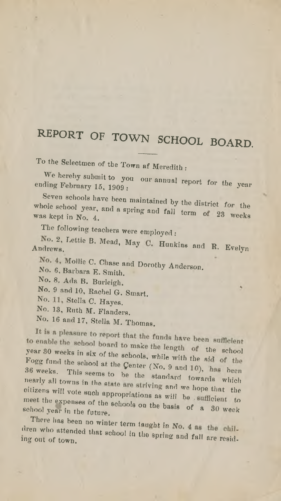## REPORT OF TOWN SCHOOL BOARD.

To the Selectmen of the Town af Meredith :

We hereby submit to you our annual report for the ending February 15,  $1909$  :

Seven schools have been maintained by the district for the whole school year, and a spring and fall term of 23 weeks

The following teachers were employed :

No. 2, Lettie B. Mead, May C. Hunkins and R. Evelyn

*No. 4. Mollie C. Chase and Dorothy Anderson.* No. 6, Barbara E. Smith.

No. 8. Ada B. Burleigh.

No. 9 and 10, Rachel G. Smart.

No. 11 Stella C. Hayes.

No. 13, Ruth M. Flanders.

No. 16 and 17, Stella M. Thomas.

It is a pleasure to report that the funds have been sufficient<br>enable the school board to make the the been sufficient to enable the school board to make the length of the school year 30 weeks in six of the schools, while with the aid of the Fogg fund the school at the Center (No. 9 and 10), has been be weeks. This seems to be the standard towards which nearly all towns in the state are striving and we hope that the citizens will vote such appropriations as will be sufficient to meet the expenses of the schools on the basis of a 20 The school year in the future.

There has been no winter term taught in No. 4 as the chil- $\cdots$  who attended that school in the spring and fall  $\log$  out of town.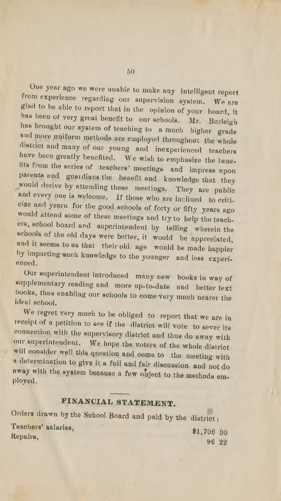One year ago we were uuable to make any intelligent report from experience regarding our supervision system. We are glad to be able to report that in the opinion of your board, it has been *ol* very great benefit to our schools. Mr. Burleigh has brought our system of teaching to a much higher grade and more uniform methods are employed throughout the whole district and many of our young and inexperienced teachers have been greatly benefited. We wish to emphasize the benefits from the series of teachers' meetings and impress upon parents and guardians the benefit and knowledge that they would derive by attending these meetings. They are public and every one is welcome. If those who are inclined to criticize and yearn for the good schools of forty or fifty years ago would attend some of these meetings and try to help the teachers, school board and superintendent by telling wherein the schools of the old days were better, it would be appreciated, and it seems to us that their old age would be made happier >y imparting such knowledge to the younger and less experienced. The contract of the contract of the contract of the contract of the contract of the contract of the contract of the contract of the contract of the contract of the contract of the contract of the contract of the con

Our superintendent introduced many new books in way of supplementary reading and more up-to-date and better text books, thus enabling our schools to come very much nearer the ideal school.

We regret very much to be obliged to report that we are in leceipt of a petition to see if the district will vote to sever its connection with the supervisory district and thus do away with our superintendent. We hope the voters of the whole district will consider well this question and come to the meeting with a determination to give it a full and fair discussion and not do away with the system because a few object to the methods employed.

### FINANCIAL STATEMENT.

Orders drawn by the School Board and paid by the district: Teachers' salaries,<br>Repairs. **\*1,706 00 H** extending the second contract of  $\theta$  6 22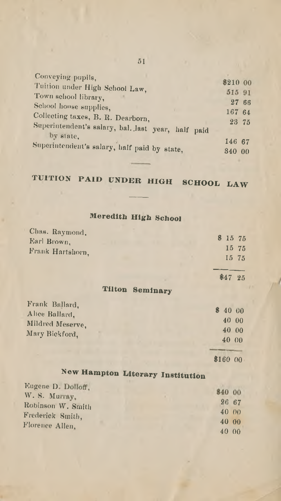| Conveying pupils,                                               |          |  |
|-----------------------------------------------------------------|----------|--|
|                                                                 | \$210 00 |  |
| Tuition under High School Law,<br>Town school library,          | 515 91   |  |
| School house supplies,                                          | 27 66    |  |
| Collecting taxes, B. R. Dearborn,                               | 167 64   |  |
|                                                                 | 23 75    |  |
| Superintendent's salary, bal. last year, half paid<br>by state. |          |  |
|                                                                 | 146 67   |  |
| Superintendent's salary, half paid by state,                    | 340 00   |  |

## TUITION PAID UNDER HIGH SCHOOL LAW

## **Meredith High School**

| Chas. Raymond.                          |              |                              |
|-----------------------------------------|--------------|------------------------------|
| Earl Brown,                             | $\mathbf{s}$ | 15 75                        |
| Frank Hartshorn,                        |              | 15 75                        |
|                                         |              | 15 75                        |
|                                         |              | $$47$ 25                     |
| <b>Tilton Seminary</b>                  |              |                              |
| Frank Ballard,                          | \$           |                              |
| Alice Ballard,                          |              | 40 00                        |
| Mildred Meserve,                        |              | 40 00                        |
| Mary Bickford,                          |              | 40 00                        |
|                                         |              | 40 00                        |
|                                         | \$160 00     |                              |
| <b>New Hampton Literary Institution</b> |              |                              |
| Eugene D. Dolloff,                      |              |                              |
| W. S. Murray,                           | 840 00       |                              |
| Robinson W. Smith                       |              | 26 67                        |
| Frederick Smith,                        |              | 4000                         |
|                                         |              | $\Lambda$ $\Omega$ $\Lambda$ |

Florence Allen, 40 00 40 00